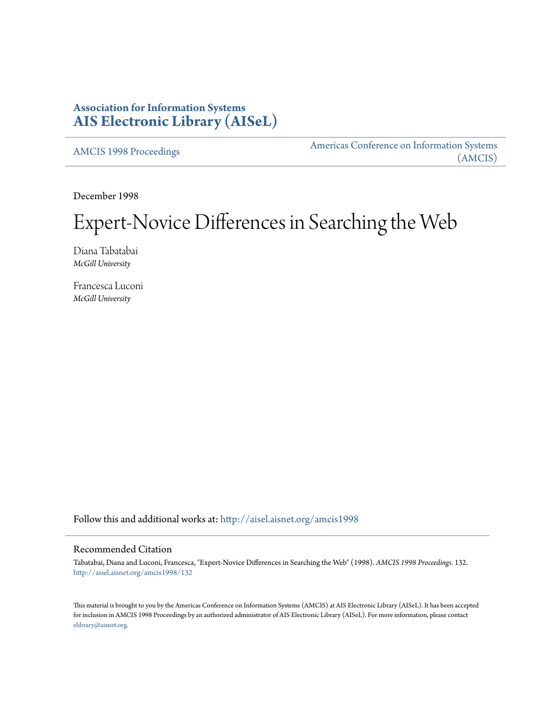# **Association for Information Systems [AIS Electronic Library \(AISeL\)](http://aisel.aisnet.org?utm_source=aisel.aisnet.org%2Famcis1998%2F132&utm_medium=PDF&utm_campaign=PDFCoverPages)**

[AMCIS 1998 Proceedings](http://aisel.aisnet.org/amcis1998?utm_source=aisel.aisnet.org%2Famcis1998%2F132&utm_medium=PDF&utm_campaign=PDFCoverPages)

[Americas Conference on Information Systems](http://aisel.aisnet.org/amcis?utm_source=aisel.aisnet.org%2Famcis1998%2F132&utm_medium=PDF&utm_campaign=PDFCoverPages) [\(AMCIS\)](http://aisel.aisnet.org/amcis?utm_source=aisel.aisnet.org%2Famcis1998%2F132&utm_medium=PDF&utm_campaign=PDFCoverPages)

December 1998

# Expert-Novice Differences in Searching the Web

Diana Tabatabai *McGill University*

Francesca Luconi *McGill University*

Follow this and additional works at: [http://aisel.aisnet.org/amcis1998](http://aisel.aisnet.org/amcis1998?utm_source=aisel.aisnet.org%2Famcis1998%2F132&utm_medium=PDF&utm_campaign=PDFCoverPages)

## Recommended Citation

Tabatabai, Diana and Luconi, Francesca, "Expert-Novice Differences in Searching the Web" (1998). *AMCIS 1998 Proceedings*. 132. [http://aisel.aisnet.org/amcis1998/132](http://aisel.aisnet.org/amcis1998/132?utm_source=aisel.aisnet.org%2Famcis1998%2F132&utm_medium=PDF&utm_campaign=PDFCoverPages)

This material is brought to you by the Americas Conference on Information Systems (AMCIS) at AIS Electronic Library (AISeL). It has been accepted for inclusion in AMCIS 1998 Proceedings by an authorized administrator of AIS Electronic Library (AISeL). For more information, please contact [elibrary@aisnet.org.](mailto:elibrary@aisnet.org%3E)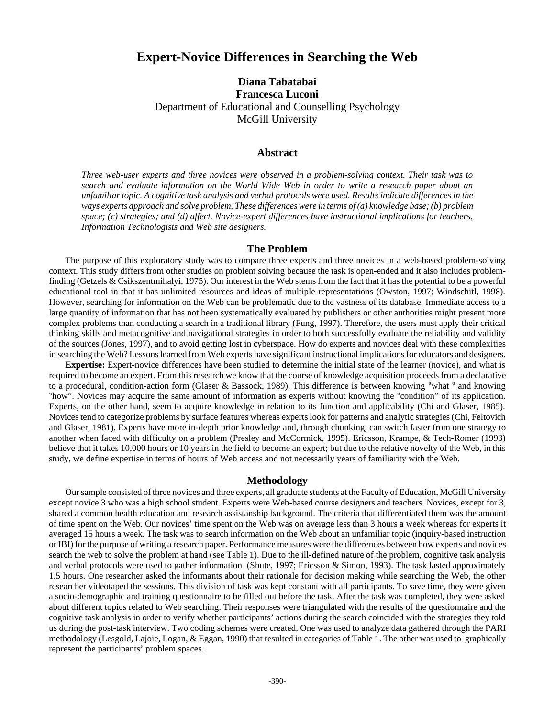# **Expert-Novice Differences in Searching the Web**

## **Diana Tabatabai Francesca Luconi** Department of Educational and Counselling Psychology McGill University

#### **Abstract**

*Three web-user experts and three novices were observed in a problem-solving context. Their task was to search and evaluate information on the World Wide Web in order to write a research paper about an unfamiliar topic. A cognitive task analysis and verbal protocols were used. Results indicate differences in the ways experts approach and solve problem. These differences were in terms of (a) knowledge base; (b) problem space; (c) strategies; and (d) affect. Novice-expert differences have instructional implications for teachers, Information Technologists and Web site designers.*

#### **The Problem**

The purpose of this exploratory study was to compare three experts and three novices in a web-based problem-solving context. This study differs from other studies on problem solving because the task is open-ended and it also includes problemfinding (Getzels & Csikszentmihalyi, 1975). Our interest in the Web stems from the fact that it has the potential to be a powerful educational tool in that it has unlimited resources and ideas of multiple representations (Owston, 1997; Windschitl, 1998). However, searching for information on the Web can be problematic due to the vastness of its database. Immediate access to a large quantity of information that has not been systematically evaluated by publishers or other authorities might present more complex problems than conducting a search in a traditional library (Fung, 1997). Therefore, the users must apply their critical thinking skills and metacognitive and navigational strategies in order to both successfully evaluate the reliability and validity of the sources (Jones, 1997), and to avoid getting lost in cyberspace. How do experts and novices deal with these complexities in searching the Web? Lessons learned from Web experts have significant instructional implications for educators and designers.

**Expertise:** Expert-novice differences have been studied to determine the initial state of the learner (novice), and what is required to become an expert. From this research we know that the course of knowledge acquisition proceeds from a declarative to a procedural, condition-action form (Glaser & Bassock, 1989). This difference is between knowing "what " and knowing "how". Novices may acquire the same amount of information as experts without knowing the "condition" of its application. Experts, on the other hand, seem to acquire knowledge in relation to its function and applicability (Chi and Glaser, 1985). Novices tend to categorize problems by surface features whereas experts look for patterns and analytic strategies (Chi, Feltovich and Glaser, 1981). Experts have more in-depth prior knowledge and, through chunking, can switch faster from one strategy to another when faced with difficulty on a problem (Presley and McCormick, 1995). Ericsson, Krampe, & Tech-Romer (1993) believe that it takes 10,000 hours or 10 years in the field to become an expert; but due to the relative novelty of the Web, in this study, we define expertise in terms of hours of Web access and not necessarily years of familiarity with the Web.

#### **Methodology**

Our sample consisted of three novices and three experts, all graduate students at the Faculty of Education, McGill University except novice 3 who was a high school student. Experts were Web-based course designers and teachers. Novices, except for 3, shared a common health education and research assistanship background. The criteria that differentiated them was the amount of time spent on the Web. Our novices' time spent on the Web was on average less than 3 hours a week whereas for experts it averaged 15 hours a week. The task was to search information on the Web about an unfamiliar topic (inquiry-based instruction or IBI) for the purpose of writing a research paper. Performance measures were the differences between how experts and novices search the web to solve the problem at hand (see Table 1). Due to the ill-defined nature of the problem, cognitive task analysis and verbal protocols were used to gather information (Shute, 1997; Ericsson & Simon, 1993). The task lasted approximately 1.5 hours. One researcher asked the informants about their rationale for decision making while searching the Web, the other researcher videotaped the sessions. This division of task was kept constant with all participants. To save time, they were given a socio-demographic and training questionnaire to be filled out before the task. After the task was completed, they were asked about different topics related to Web searching. Their responses were triangulated with the results of the questionnaire and the cognitive task analysis in order to verify whether participants' actions during the search coincided with the strategies they told us during the post-task interview. Two coding schemes were created. One was used to analyze data gathered through the PARI methodology (Lesgold, Lajoie, Logan, & Eggan, 1990) that resulted in categories of Table 1. The other was used to graphically represent the participants' problem spaces.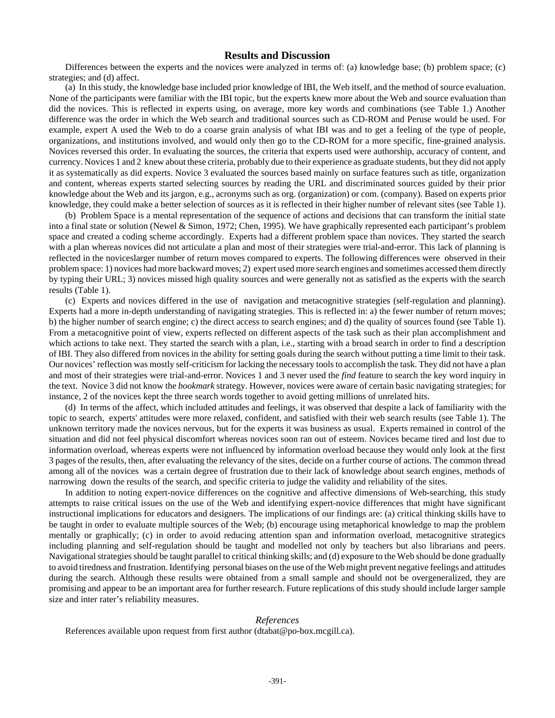## **Results and Discussion**

Differences between the experts and the novices were analyzed in terms of: (a) knowledge base; (b) problem space; (c) strategies; and (d) affect.

(a) In this study, the knowledge base included prior knowledge of IBI, the Web itself, and the method of source evaluation. None of the participants were familiar with the IBI topic, but the experts knew more about the Web and source evaluation than did the novices. This is reflected in experts using, on average, more key words and combinations (see Table 1.) Another difference was the order in which the Web search and traditional sources such as CD-ROM and Peruse would be used. For example, expert A used the Web to do a coarse grain analysis of what IBI was and to get a feeling of the type of people, organizations, and institutions involved, and would only then go to the CD-ROM for a more specific, fine-grained analysis. Novices reversed this order. In evaluating the sources, the criteria that experts used were authorship, accuracy of content, and currency. Novices 1 and 2 knew about these criteria, probably due to their experience as graduate students, but they did not apply it as systematically as did experts. Novice 3 evaluated the sources based mainly on surface features such as title, organization and content, whereas experts started selecting sources by reading the URL and discriminated sources guided by their prior knowledge about the Web and its jargon, e.g., acronyms such as org. (organization) or com. (company). Based on experts prior knowledge, they could make a better selection of sources as it is reflected in their higher number of relevant sites (see Table 1).

(b) Problem Space is a mental representation of the sequence of actions and decisions that can transform the initial state into a final state or solution (Newel & Simon, 1972; Chen, 1995). We have graphically represented each participant's problem space and created a coding scheme accordingly. Experts had a different problem space than novices. They started the search with a plan whereas novices did not articulate a plan and most of their strategies were trial-and-error. This lack of planning is reflected in the noviceslarger number of return moves compared to experts. The following differences were observed in their problem space: 1) novices had more backward moves; 2) expert used more search engines and sometimes accessed them directly by typing their URL; 3) novices missed high quality sources and were generally not as satisfied as the experts with the search results (Table 1).

(c) Experts and novices differed in the use of navigation and metacognitive strategies (self-regulation and planning). Experts had a more in-depth understanding of navigating strategies. This is reflected in: a) the fewer number of return moves; b) the higher number of search engine; c) the direct access to search engines; and d) the quality of sources found (see Table 1). From a metacognitive point of view, experts reflected on different aspects of the task such as their plan accomplishment and which actions to take next. They started the search with a plan, i.e., starting with a broad search in order to find a description of IBI. They also differed from novices in the ability for setting goals during the search without putting a time limit to their task. Our novices' reflection was mostly self-criticism for lacking the necessary tools to accomplish the task. They did not have a plan and most of their strategies were trial-and-error. Novices 1 and 3 never used the *find* feature to search the key word inquiry in the text. Novice 3 did not know the *bookmark* strategy. However, novices were aware of certain basic navigating strategies; for instance, 2 of the novices kept the three search words together to avoid getting millions of unrelated hits.

(d) In terms of the affect, which included attitudes and feelings, it was observed that despite a lack of familiarity with the topic to search, experts' attitudes were more relaxed, confident, and satisfied with their web search results (see Table 1). The unknown territory made the novices nervous, but for the experts it was business as usual. Experts remained in control of the situation and did not feel physical discomfort whereas novices soon ran out of esteem. Novices became tired and lost due to information overload, whereas experts were not influenced by information overload because they would only look at the first 3 pages of the results, then, after evaluating the relevancy of the sites, decide on a further course of actions. The common thread among all of the novices was a certain degree of frustration due to their lack of knowledge about search engines, methods of narrowing down the results of the search, and specific criteria to judge the validity and reliability of the sites.

In addition to noting expert-novice differences on the cognitive and affective dimensions of Web-searching, this study attempts to raise critical issues on the use of the Web and identifying expert-novice differences that might have significant instructional implications for educators and designers. The implications of our findings are: (a) critical thinking skills have to be taught in order to evaluate multiple sources of the Web; (b) encourage using metaphorical knowledge to map the problem mentally or graphically; (c) in order to avoid reducing attention span and information overload, metacognitive strategics including planning and self-regulation should be taught and modelled not only by teachers but also librarians and peers. Navigational strategies should be taught parallel to critical thinking skills; and (d) exposure to the Web should be done gradually to avoid tiredness and frustration. Identifying personal biases on the use of the Web might prevent negative feelings and attitudes during the search. Although these results were obtained from a small sample and should not be overgeneralized, they are promising and appear to be an important area for further research. Future replications of this study should include larger sample size and inter rater's reliability measures.

### *References*

References available upon request from first author (dtabat@po-box.mcgill.ca).